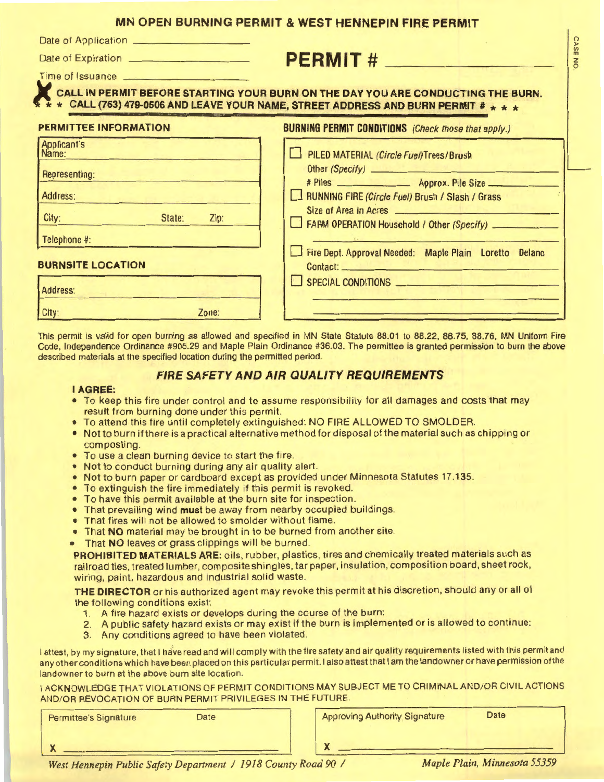## **MN OPEN BURNING PERMIT & WEST HENNEPIN FIRE PERMIT**

Date of Application ..;...., \_\_\_\_ \_...\_ \_\_\_ \_

# Date of Expiration **CONSERT ASSESS**

Time of Issuance  $\frac{1}{2}$  is  $\frac{1}{2}$  is  $\frac{1}{2}$  in  $\frac{1}{2}$  is  $\frac{1}{2}$  if  $\frac{1}{2}$  is  $\frac{1}{2}$  is  $\frac{1}{2}$  if  $\frac{1}{2}$  is  $\frac{1}{2}$  is  $\frac{1}{2}$  if  $\frac{1}{2}$  is  $\frac{1}{2}$  if  $\frac{1}{2}$  is  $\frac{1}{2}$  if  $\frac{1}{2}$ 

**ALL IN PERMIT BEFORE STARTING YOUR BURN ON THE DAY YOU ARE CONDUCTING THE BURN.**<br>CALL (763) 479-0506 AND LEAVE YOUR NAME, STREET ADDRESS AND BURN PERMIT # \* \* \*

| PERMITTEE INFORMATION                                                                                                    | <b>BURNING PERMIT CONDITIONS</b> (Check those that apply.)                                                                                                                                                                                               |
|--------------------------------------------------------------------------------------------------------------------------|----------------------------------------------------------------------------------------------------------------------------------------------------------------------------------------------------------------------------------------------------------|
| Applicant's<br>Name:<br>Representing:<br>Address:<br>City:<br>State:<br>Zip:<br>Telephone #:<br><b>BURNSITE LOCATION</b> | PILED MATERIAL (Circle Fuel)Trees/Brush<br>RUNNING FIRE (Circle Fuel) Brush / Slash / Grass<br>Size of Area in Acres<br>FARM OPERATION Household / Other (Specify)<br>Fire Dept. Approval Needed: Maple Plain Loretto Delano<br><b>Contact:</b> Contact: |
| Address:                                                                                                                 | SPECIAL CONDITIONS                                                                                                                                                                                                                                       |
| Zone:<br>City:                                                                                                           |                                                                                                                                                                                                                                                          |

This permit is valid for open burning as allowed and specified in MN State Statute 88.01 to 88.22, 88.75, 88.76, **MN** Uniform Fire Code, Independence Ordinance #905.29 and Maple Plain Ordinance #36.03. The permittee is granted permission to burn the above described materials at the specified location during the permitted period.

# **FIRE SAFETY AND AIR QUALITY REQUIREMENTS**

#### • I **AGREE:**

- To keep this fire under control and to assume responsibility for all damages and costs that may result from burning done under this perrnit.
- To attend this fire until completely extinguished: NO FIRE ALLOWED TO SMOLDER.
- Not to burn if there is a practical alternative method for disposal of the material such as chipping or composting.
- To use a clean burning device to start the fire.
- Not to conduct burning during any air quality alert.
- Not to burn paper or cardboard except as provided under Minnesota Statutes 17 .135.
- To extinguish the fire immediately if this permit is revoked.
- To have this permit available at the burn site for inspection.
- That prevailing wind **must** be away from nearby occupied buildings.
- That fires will not be allowed to smolder without flame.
- That **NO** material may be brought in to be burned from another site.
- That **NO** leaves or grass clippings will be burned.

**PROHIBITED MATERIALS ARE:** oils, rubber, plastics, tires and chemically treated materials such as railroad ties, treated lumber, composite shingles, tar paper, insulation, composition board, sheet rock, wiring, paint, hazardous and industrial solid waste.

**THE DIRECTOR** or his authorized agent may revoke this permit at his discretion, should any or all of the following conditions exist:

- 1, A fire hazard exists or develops during the course of the burn:
- 2. A public safety hazard exists or may exist if the burn is implemented or is allowed to continue:
- 3. Any conditions agreed to have been violated.

I attest, by my signature, that I have read and will comply with the fire safety and air quality requirements listed with this permit and any other conditions which have been placed on this particular permit. I also attest that I am the landowner or have permission of the landowner to burn at the above burn site location.

I ACKNOWLEDGE THAT VIOLATIONS OF PERMIT CONDITIONS MAY SUBJECT ME TO CRIMINAL AND/OR CIVIL ACTIONS ANO/OR REVOCATION OF BURN PERMIT PRIVILEGES IN THE FUTURE.

| Permittee's Signature | <b>Date</b> | <b>Approving Authority Signature</b><br><b>Date</b> |  |
|-----------------------|-------------|-----------------------------------------------------|--|
|                       | __________  |                                                     |  |

(") )> *VI*  m **z**  *9*